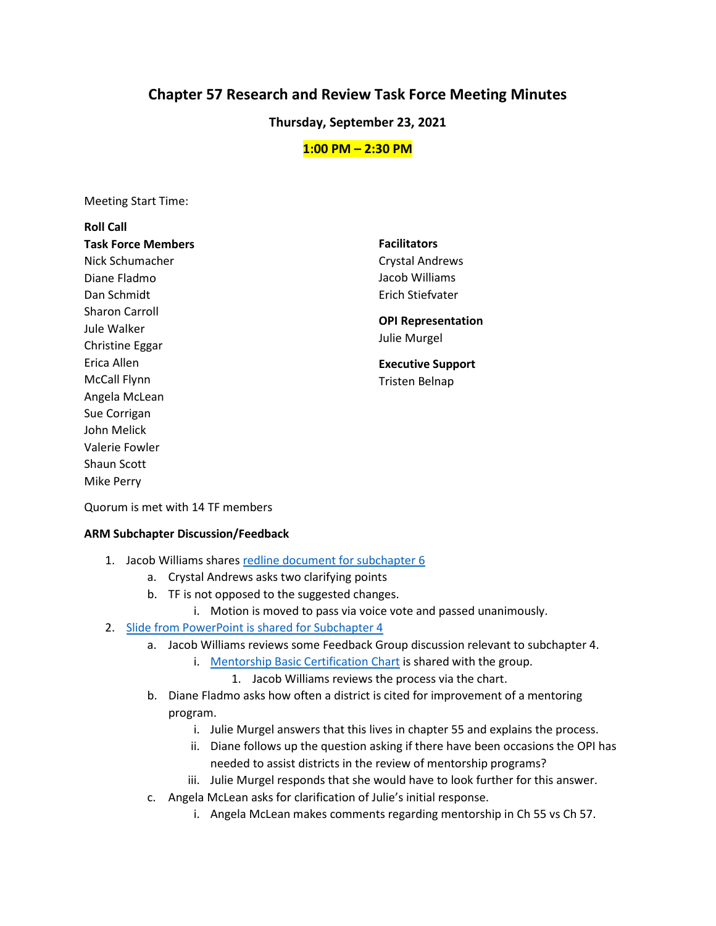# **Chapter 57 Research and Review Task Force Meeting Minutes**

**Thursday, September 23, 2021**

## **1:00 PM – 2:30 PM**

Meeting Start Time:

## **Roll Call Task Force Members**  Nick Schumacher Diane Fladmo Dan Schmidt Sharon Carroll Jule Walker Christine Eggar Erica Allen McCall Flynn Angela McLean Sue Corrigan John Melick Valerie Fowler Shaun Scott Mike Perry

**Facilitators**  Crystal Andrews Jacob Williams Erich Stiefvater

## **OPI Representation**  Julie Murgel

**Executive Support**  Tristen Belnap

Quorum is met with 14 TF members

#### **ARM Subchapter Discussion/Feedback**

- 1. Jacob Williams share[s redline document for subchapter](https://docs.google.com/document/d/1_Vlw7aFcdzZVInXzF4K3_svqY8XOqGw0Kk6fH8QtptY/edit?usp=sharing) 6
	- a. Crystal Andrews asks two clarifying points
	- b. TF is not opposed to the suggested changes.
		- i. Motion is moved to pass via voice vote and passed unanimously.

## 2. [Slide from PowerPoint is shared for Subchapter 4](https://docs.google.com/presentation/d/1KTh8A2tAgaIC2Oex-uezCBhit24px8eC/edit?usp=sharing&ouid=103980653118195900680&rtpof=true&sd=true)

- a. Jacob Williams reviews some Feedback Group discussion relevant to subchapter 4.
	- i. [Mentorship Basic Certification](https://tinyurl.com/MT57400) Chart is shared with the group.
		- 1. Jacob Williams reviews the process via the chart.
- b. Diane Fladmo asks how often a district is cited for improvement of a mentoring program.
	- i. Julie Murgel answers that this lives in chapter 55 and explains the process.
	- ii. Diane follows up the question asking if there have been occasions the OPI has needed to assist districts in the review of mentorship programs?
	- iii. Julie Murgel responds that she would have to look further for this answer.
- c. Angela McLean asks for clarification of Julie's initial response.
	- i. Angela McLean makes comments regarding mentorship in Ch 55 vs Ch 57.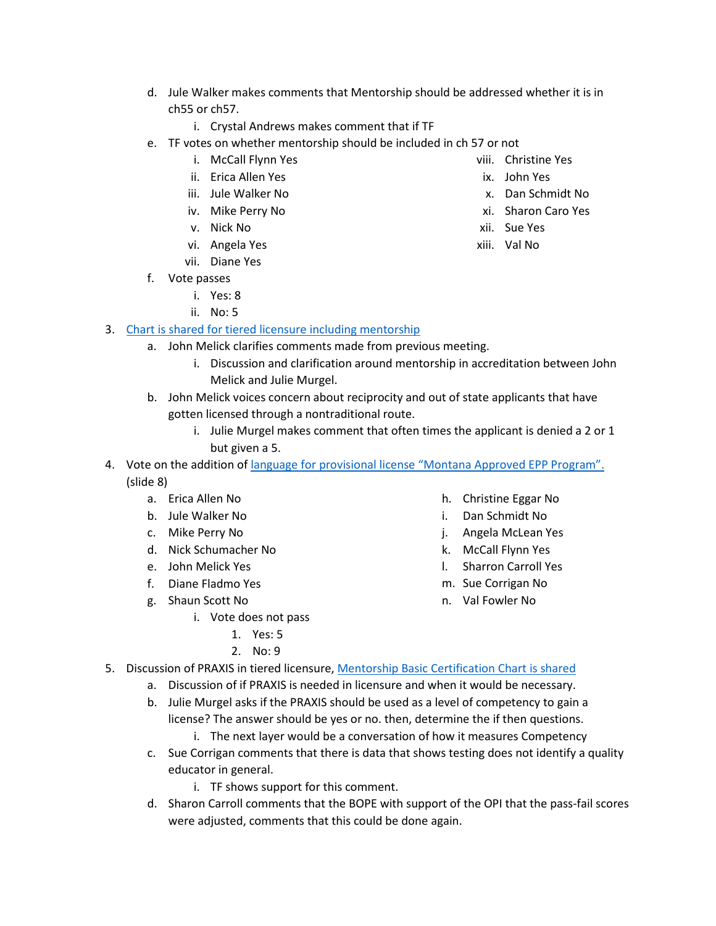- d. Jule Walker makes comments that Mentorship should be addressed whether it is in ch55 or ch57.
	- i. Crystal Andrews makes comment that if TF
- e. TF votes on whether mentorship should be included in ch 57 or not
	- i. McCall Flynn Yes
	- ii. Erica Allen Yes
	- iii. Jule Walker No
	- iv. Mike Perry No
	- v. Nick No
	- vi. Angela Yes
	- vii. Diane Yes
- f. Vote passes
	- i. Yes: 8
	- ii. No: 5

## 3. [Chart is shared for tiered licensure including mentorship](https://tinyurl.com/MT57400)

- a. John Melick clarifies comments made from previous meeting.
	- i. Discussion and clarification around mentorship in accreditation between John Melick and Julie Murgel.
- b. John Melick voices concern about reciprocity and out of state applicants that have gotten licensed through a nontraditional route.
	- i. Julie Murgel makes comment that often times the applicant is denied a 2 or 1 but given a 5.
- 4. Vote on the addition of language [for provisional license "Montana Approved EPP Program".](https://docs.google.com/presentation/d/1KTh8A2tAgaIC2Oex-uezCBhit24px8eC/edit?usp=sharing&ouid=103980653118195900680&rtpof=true&sd=true) (slide 8)
	- a. Erica Allen No
	- b. Jule Walker No
	- c. Mike Perry No
	- d. Nick Schumacher No
	- e. John Melick Yes
	- f. Diane Fladmo Yes
	- g. Shaun Scott No
		- i. Vote does not pass
			- 1. Yes: 5
			- 2. No: 9
- h. Christine Eggar No
- i. Dan Schmidt No
- j. Angela McLean Yes
- k. McCall Flynn Yes
- l. Sharron Carroll Yes
- m. Sue Corrigan No
- n. Val Fowler No
- 5. Discussion of PRAXIS in tiered licensure[, Mentorship Basic Certification Chart is shared](https://tinyurl.com/MT57400)
	- a. Discussion of if PRAXIS is needed in licensure and when it would be necessary.
	- b. Julie Murgel asks if the PRAXIS should be used as a level of competency to gain a license? The answer should be yes or no. then, determine the if then questions.
		- i. The next layer would be a conversation of how it measures Competency
	- c. Sue Corrigan comments that there is data that shows testing does not identify a quality educator in general.
		- i. TF shows support for this comment.
	- d. Sharon Carroll comments that the BOPE with support of the OPI that the pass-fail scores were adjusted, comments that this could be done again.
- viii. Christine Yes
- ix. John Yes
- x. Dan Schmidt No
- xi. Sharon Caro Yes
- xii. Sue Yes
- xiii. Val No